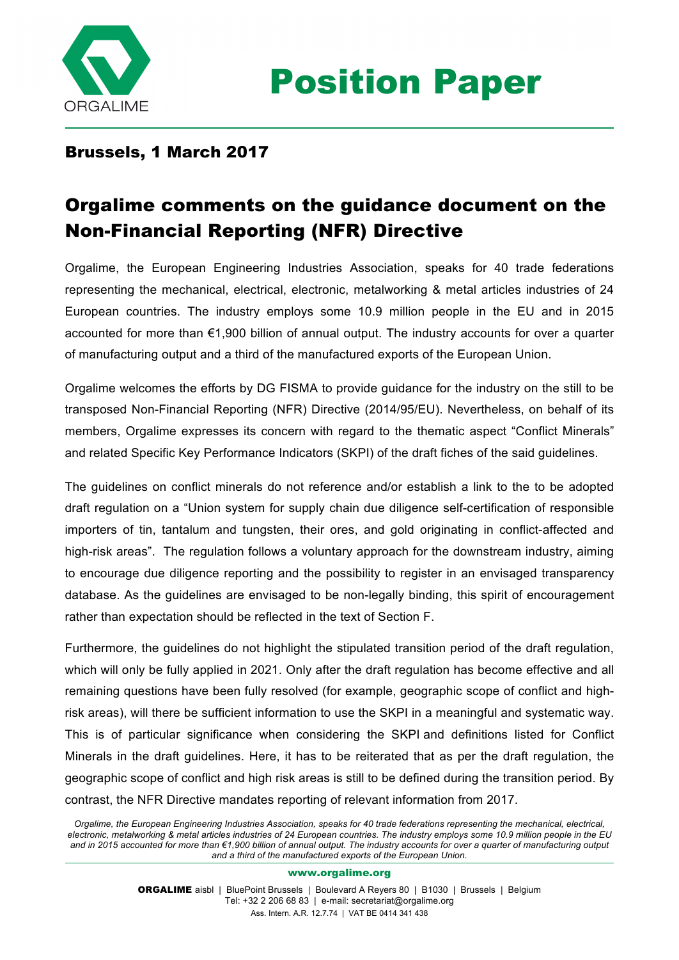

## Brussels, 1 March 2017

## Orgalime comments on the guidance document on the Non-Financial Reporting (NFR) Directive

Orgalime, the European Engineering Industries Association, speaks for 40 trade federations representing the mechanical, electrical, electronic, metalworking & metal articles industries of 24 European countries. The industry employs some 10.9 million people in the EU and in 2015 accounted for more than €1,900 billion of annual output. The industry accounts for over a quarter of manufacturing output and a third of the manufactured exports of the European Union.

Orgalime welcomes the efforts by DG FISMA to provide guidance for the industry on the still to be transposed Non-Financial Reporting (NFR) Directive (2014/95/EU). Nevertheless, on behalf of its members, Orgalime expresses its concern with regard to the thematic aspect "Conflict Minerals" and related Specific Key Performance Indicators (SKPI) of the draft fiches of the said guidelines.

The guidelines on conflict minerals do not reference and/or establish a link to the to be adopted draft regulation on a "Union system for supply chain due diligence self-certification of responsible importers of tin, tantalum and tungsten, their ores, and gold originating in conflict-affected and high-risk areas". The regulation follows a voluntary approach for the downstream industry, aiming to encourage due diligence reporting and the possibility to register in an envisaged transparency database. As the guidelines are envisaged to be non-legally binding, this spirit of encouragement rather than expectation should be reflected in the text of Section F.

Furthermore, the guidelines do not highlight the stipulated transition period of the draft regulation, which will only be fully applied in 2021. Only after the draft regulation has become effective and all remaining questions have been fully resolved (for example, geographic scope of conflict and highrisk areas), will there be sufficient information to use the SKPI in a meaningful and systematic way. This is of particular significance when considering the SKPI and definitions listed for Conflict Minerals in the draft guidelines. Here, it has to be reiterated that as per the draft regulation, the geographic scope of conflict and high risk areas is still to be defined during the transition period. By contrast, the NFR Directive mandates reporting of relevant information from 2017.

*Orgalime, the European Engineering Industries Association, speaks for 40 trade federations representing the mechanical, electrical, electronic, metalworking & metal articles industries of 24 European countries. The industry employs some 10.9 million people in the EU and in 2015 accounted for more than €1,900 billion of annual output. The industry accounts for over a quarter of manufacturing output and a third of the manufactured exports of the European Union.*

www.orgalime.org